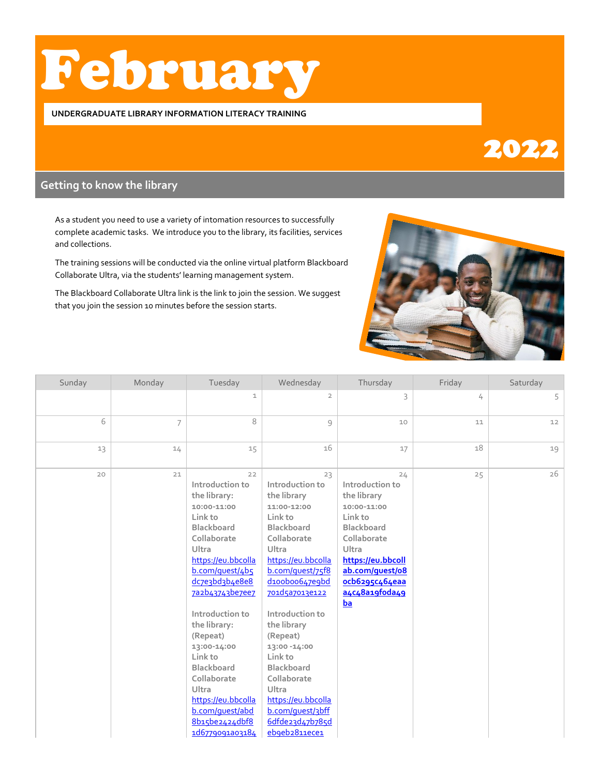# February

#### **UNDERGRADUATE LIBRARY INFORMATION LITERACY TRAINING**

## 2022

## **Getting to know the library**

As a student you need to use a variety of intomation resources to successfully complete academic tasks. We introduce you to the library, its facilities, services and collections.

The training sessions will be conducted via the online virtual platform Blackboard Collaborate Ultra, via the students' learning management system.

The Blackboard Collaborate Ultra link is the link to join the session. We suggest that you join the session 10 minutes before the session starts.



| Sunday | Monday         | Tuesday                                                                                                                                                                                                                                                                                                                                                                          | Wednesday                                                                                                                                                                                                                                                                                                                                                                                            | Thursday                                                                                                                                                                                      | Friday | Saturday |
|--------|----------------|----------------------------------------------------------------------------------------------------------------------------------------------------------------------------------------------------------------------------------------------------------------------------------------------------------------------------------------------------------------------------------|------------------------------------------------------------------------------------------------------------------------------------------------------------------------------------------------------------------------------------------------------------------------------------------------------------------------------------------------------------------------------------------------------|-----------------------------------------------------------------------------------------------------------------------------------------------------------------------------------------------|--------|----------|
|        |                | $\mathbbm{1}$                                                                                                                                                                                                                                                                                                                                                                    | $\overline{2}$                                                                                                                                                                                                                                                                                                                                                                                       | 3                                                                                                                                                                                             | 4      | 5        |
| 6      | $\overline{7}$ | 8                                                                                                                                                                                                                                                                                                                                                                                | 9                                                                                                                                                                                                                                                                                                                                                                                                    | 10                                                                                                                                                                                            | 11     | 12       |
| 13     | 14             | 15                                                                                                                                                                                                                                                                                                                                                                               | 16                                                                                                                                                                                                                                                                                                                                                                                                   | 17                                                                                                                                                                                            | 18     | 19       |
| 20     | 21             | 22<br>Introduction to<br>the library:<br>10:00-11:00<br>Link to<br>Blackboard<br>Collaborate<br>Ultra<br>https://eu.bbcolla<br>b.com/quest/4b5<br>dc7e3bd3b4e8e8<br>7a2b43743be7ee7<br>Introduction to<br>the library:<br>(Repeat)<br>13:00-14:00<br>Link to<br>Blackboard<br>Collaborate<br>Ultra<br>https://eu.bbcolla<br>b.com/quest/abd<br>8b15be2424dbf8<br>1d6779091a03184 | 23<br>Introduction to<br>the library<br>11:00-12:00<br>Link to<br><b>Blackboard</b><br>Collaborate<br>Ultra<br>https://eu.bbcolla<br>b.com/quest/75f8<br>d100b00647e9bd<br>701d5a7013e122<br>Introduction to<br>the library<br>(Repeat)<br>13:00 -14:00<br>Link to<br><b>Blackboard</b><br>Collaborate<br><b>Ultra</b><br>https://eu.bbcolla<br>b.com/quest/3bff<br>6dfde23d47b785d<br>eb9eb2811ece1 | 24<br>Introduction to<br>the library<br>10:00-11:00<br>Link to<br>Blackboard<br>Collaborate<br>Ultra<br>https://eu.bbcoll<br>ab.com/quest/o8<br>ocb6295c464eaa<br>a4c48a19foda49<br><b>ba</b> | 25     | 26       |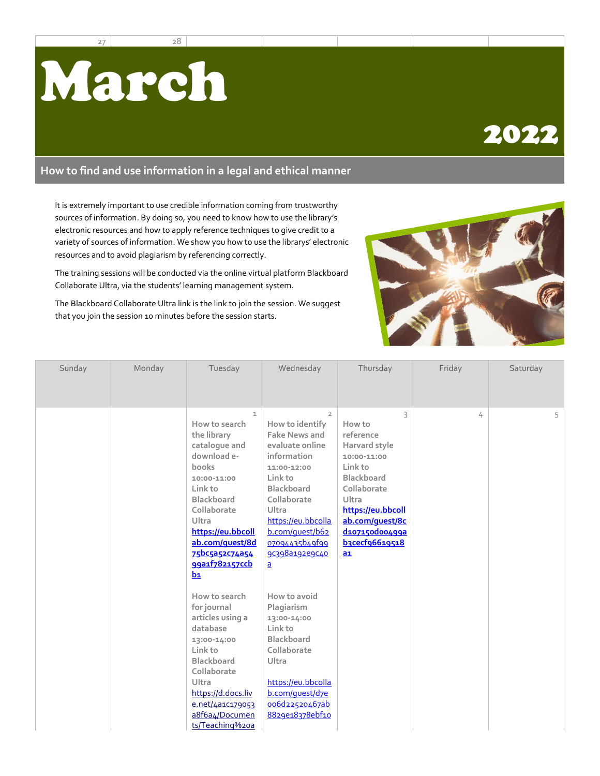27 28



### **How to find and use information in a legal and ethical manner**

It is extremely important to use credible information coming from trustworthy sources of information. By doing so, you need to know how to use the library's electronic resources and how to apply reference techniques to give credit to a variety of sources of information. We show you how to use the librarys' electronic resources and to avoid plagiarism by referencing correctly.

The training sessions will be conducted via the online virtual platform Blackboard Collaborate Ultra, via the students' learning management system.

The Blackboard Collaborate Ultra link is the link to join the session. We suggest that you join the session 10 minutes before the session starts.



| Sunday | Monday | Tuesday                                                                                                                                                                                                                                                                                                                                                                                                                                                                 | Wednesday                                                                                                                                                                                                                                                                                                                                                                                                                                          | Thursday                                                                                                                                                                                             | Friday | Saturday |
|--------|--------|-------------------------------------------------------------------------------------------------------------------------------------------------------------------------------------------------------------------------------------------------------------------------------------------------------------------------------------------------------------------------------------------------------------------------------------------------------------------------|----------------------------------------------------------------------------------------------------------------------------------------------------------------------------------------------------------------------------------------------------------------------------------------------------------------------------------------------------------------------------------------------------------------------------------------------------|------------------------------------------------------------------------------------------------------------------------------------------------------------------------------------------------------|--------|----------|
|        |        | $\mathbf{1}$<br>How to search<br>the library<br>catalogue and<br>download e-<br>books<br>10:00-11:00<br>Link to<br><b>Blackboard</b><br>Collaborate<br>Ultra<br>https://eu.bbcoll<br>ab.com/quest/8d<br>75bc5a52c74a54<br>99a1f782157ccb<br>$b_1$<br>How to search<br>for journal<br>articles using a<br>database<br>13:00-14:00<br>Link to<br><b>Blackboard</b><br>Collaborate<br>Ultra<br>https://d.docs.liv<br>e.net/4a1C179053<br>a8f6a4/Documen<br>ts/Teaching%20a | $\overline{2}$<br>How to identify<br><b>Fake News and</b><br>evaluate online<br>information<br>11:00-12:00<br>Link to<br><b>Blackboard</b><br>Collaborate<br>Ultra<br>https://eu.bbcolla<br>b.com/quest/b62<br>07094435b49f99<br>90398a192e9040<br>$\mathbf{a}$<br>How to avoid<br>Plagiarism<br>13:00-14:00<br>Link to<br><b>Blackboard</b><br>Collaborate<br>Ultra<br>https://eu.bbcolla<br>b.com/quest/d7e<br>006d22520467ab<br>8829e18378ebf10 | 3<br>How to<br>reference<br>Harvard style<br>10:00-11:00<br>Link to<br><b>Blackboard</b><br>Collaborate<br>Ultra<br>https://eu.bbcoll<br>ab.com/quest/8c<br>d107150d00499a<br>b3cecf96619518<br>$ab$ | 4      | 5        |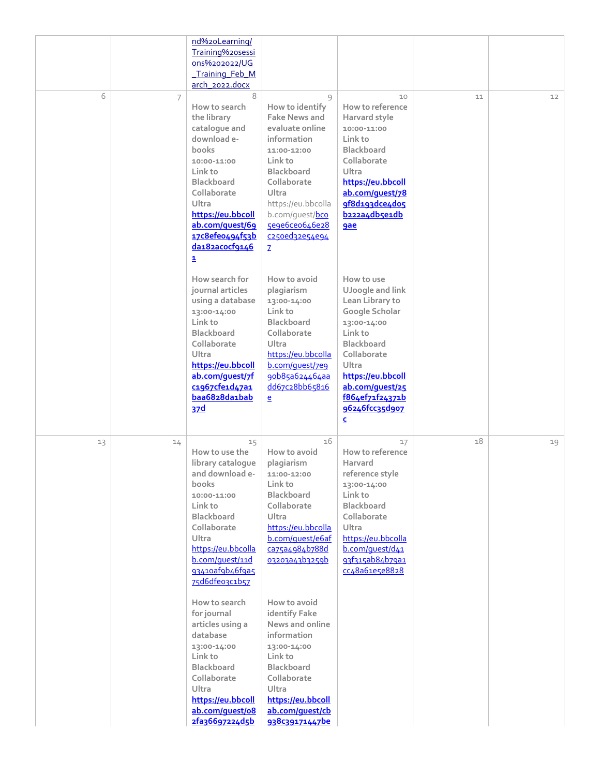|    |    | nd%20Learning/<br>Training%20sessi<br>ons%202022/UG<br>Training Feb M<br>arch_2022.docx                                                                                                                                                                                                                                                                                                                              |                                                                                                                                                                                                                                                                                                                                                                                    |                                                                                                                                                                                                                                                    |    |    |
|----|----|----------------------------------------------------------------------------------------------------------------------------------------------------------------------------------------------------------------------------------------------------------------------------------------------------------------------------------------------------------------------------------------------------------------------|------------------------------------------------------------------------------------------------------------------------------------------------------------------------------------------------------------------------------------------------------------------------------------------------------------------------------------------------------------------------------------|----------------------------------------------------------------------------------------------------------------------------------------------------------------------------------------------------------------------------------------------------|----|----|
| 6  | 7  | 8<br>How to search<br>the library<br>catalogue and<br>download e-<br>books<br>10:00-11:00<br>Link to<br><b>Blackboard</b><br>Collaborate<br>Ultra<br>https://eu.bbcoll<br>ab.com/quest/69<br>17c8efe0494f53b<br>da182acocf9146<br>1                                                                                                                                                                                  | 9<br>How to identify<br><b>Fake News and</b><br>evaluate online<br>information<br>11:00-12:00<br>Link to<br><b>Blackboard</b><br>Collaborate<br>Ultra<br>https://eu.bbcolla<br>b.com/guest/bco<br>5e9e6ce0646e28<br>c250ed32e54e94<br>$\mathbf{Z}$                                                                                                                                 | 10<br>How to reference<br>Harvard style<br>10:00-11:00<br>Link to<br><b>Blackboard</b><br>Collaborate<br>Ultra<br>https://eu.bbcoll<br>ab.com/quest/78<br>9f8d193dce4do5<br>b222a4db5e1db<br><b>gae</b>                                            | 11 | 12 |
|    |    | How search for<br>journal articles<br>using a database<br>13:00-14:00<br>Link to<br><b>Blackboard</b><br>Collaborate<br>Ultra<br>https://eu.bbcoll<br>ab.com/quest/7f<br>c1967cfe1d47a1<br>baa6828da1bab<br>37d                                                                                                                                                                                                      | How to avoid<br>plagiarism<br>13:00-14:00<br>Link to<br><b>Blackboard</b><br>Collaborate<br>Ultra<br>https://eu.bbcolla<br>b.com/quest/7e9<br>90b85a624464aa<br>dd67c28bb65816<br>$\mathbf{e}$                                                                                                                                                                                     | How to use<br>UJoogle and link<br>Lean Library to<br>Google Scholar<br>13:00-14:00<br>Link to<br><b>Blackboard</b><br>Collaborate<br>Ultra<br>https://eu.bbcoll<br>ab.com/guest/25<br>f864ef71f24371b<br>96246fcc35d907<br>$\overline{\mathsf{c}}$ |    |    |
| 13 | 14 | 15<br>How to use the<br>library catalogue<br>and download e-<br>books<br>10:00-11:00<br>Link to<br><b>Blackboard</b><br>Collaborate<br>Ultra<br>https://eu.bbcolla<br>b.com/quest/11d<br>93410afgb46fga5<br>75d6dfeo3c1b57<br>How to search<br>for journal<br>articles using a<br>database<br>13:00-14:00<br>Link to<br>Blackboard<br>Collaborate<br>Ultra<br>https://eu.bbcoll<br>ab.com/quest/o8<br>2fa36697224d5b | 16<br>How to avoid<br>plagiarism<br>11:00-12:00<br>Link to<br>Blackboard<br>Collaborate<br>Ultra<br>https://eu.bbcolla<br>b.com/quest/e6af<br>ca75a4984b788d<br>03203a43b3259b<br>How to avoid<br>identify Fake<br>News and online<br>information<br>13:00-14:00<br>Link to<br><b>Blackboard</b><br>Collaborate<br>Ultra<br>https://eu.bbcoll<br>ab.com/quest/cb<br>938c39171447be | 17<br>How to reference<br>Harvard<br>reference style<br>13:00-14:00<br>Link to<br><b>Blackboard</b><br>Collaborate<br>Ultra<br>https://eu.bbcolla<br>b.com/quest/d41<br>93f315ab84b79a1<br>cc48a61e5e8828                                          | 18 | 19 |